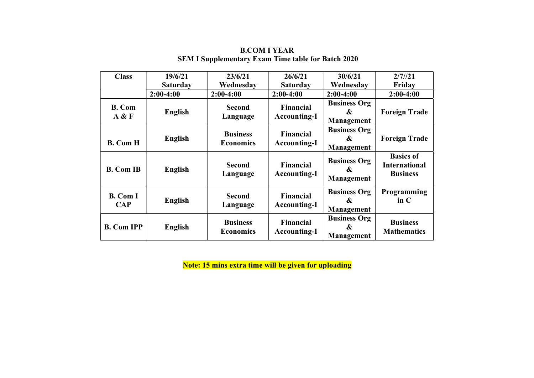| <b>Class</b>                 | 19/6/21         | 23/6/21                             | 26/6/21                                 | 30/6/21                                                | 2/7/21                                                      |
|------------------------------|-----------------|-------------------------------------|-----------------------------------------|--------------------------------------------------------|-------------------------------------------------------------|
|                              | <b>Saturday</b> | Wednesday                           | <b>Saturday</b>                         | Wednesday                                              | Friday                                                      |
|                              | $2:00-4:00$     | $2:00-4:00$                         | $2:00-4:00$                             | $2:00-4:00$                                            | $2:00-4:00$                                                 |
| <b>B.</b> Com<br>A & F       | English         | <b>Second</b><br>Language           | <b>Financial</b><br><b>Accounting-I</b> | <b>Business Org</b><br>&<br>Management                 | <b>Foreign Trade</b>                                        |
| <b>B.</b> Com H              | English         | <b>Business</b><br><b>Economics</b> | <b>Financial</b><br><b>Accounting-I</b> | <b>Business Org</b><br>&<br>Management                 | <b>Foreign Trade</b>                                        |
| <b>B.</b> Com IB             | English         | <b>Second</b><br>Language           | <b>Financial</b><br><b>Accounting-I</b> | <b>Business Org</b><br>&<br>Management                 | <b>Basics of</b><br><b>International</b><br><b>Business</b> |
| <b>B.</b> Com I<br>$\bf CAP$ | <b>English</b>  | <b>Second</b><br>Language           | <b>Financial</b><br><b>Accounting-I</b> | <b>Business Org</b><br>$\boldsymbol{\&}$<br>Management | Programming<br>$\mathbf{in} \mathbb{C}$                     |
| <b>B.</b> Com IPP            | <b>English</b>  | <b>Business</b><br><b>Economics</b> | <b>Financial</b><br><b>Accounting-I</b> | <b>Business Org</b><br>$\boldsymbol{\&}$<br>Management | <b>Business</b><br><b>Mathematics</b>                       |

### B.COM I YEAR SEM I Supplementary Exam Time table for Batch 2020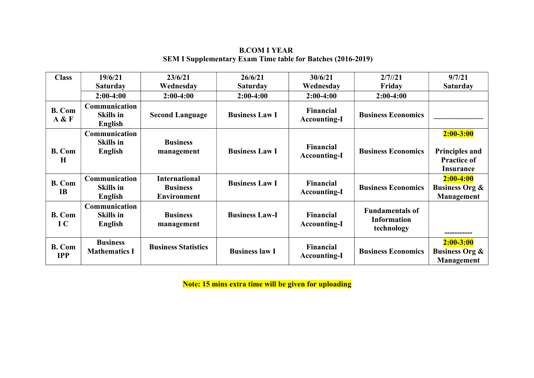### B.COM I YEAR SEM I Supplementary Exam Time table for Batches (2016-2019)

| <b>Class</b>                | 19/6/21                                      | 23/6/21                                                       | 26/6/21               | 30/6/21                                 | 2/7/21                                                     | 9/7/21                                                                           |
|-----------------------------|----------------------------------------------|---------------------------------------------------------------|-----------------------|-----------------------------------------|------------------------------------------------------------|----------------------------------------------------------------------------------|
|                             | <b>Saturday</b>                              | Wednesday                                                     | <b>Saturday</b>       | Wednesday                               | Friday                                                     | <b>Saturday</b>                                                                  |
|                             | $2:00-4:00$                                  | $2:00-4:00$                                                   | $2:00-4:00$           | $2:00-4:00$                             | $2:00-4:00$                                                |                                                                                  |
| <b>B.</b> Com<br>A & F      | Communication<br><b>Skills in</b><br>English | <b>Second Language</b>                                        | <b>Business Law I</b> | <b>Financial</b><br><b>Accounting-I</b> | <b>Business Economics</b>                                  |                                                                                  |
| <b>B.</b> Com<br>$\bf H$    | Communication<br><b>Skills in</b><br>English | <b>Business</b><br>management                                 | <b>Business Law I</b> | <b>Financial</b><br><b>Accounting-I</b> | <b>Business Economics</b>                                  | $2:00 - 3:00$<br><b>Principles and</b><br><b>Practice of</b><br><b>Insurance</b> |
| <b>B.</b> Com<br><b>IB</b>  | Communication<br><b>Skills in</b><br>English | <b>International</b><br><b>Business</b><br><b>Environment</b> | <b>Business Law I</b> | <b>Financial</b><br><b>Accounting-I</b> | <b>Business Economics</b>                                  | $2:00-4:00$<br><b>Business Org &amp;</b><br>Management                           |
| <b>B.</b> Com<br>IC         | Communication<br><b>Skills in</b><br>English | <b>Business</b><br>management                                 | <b>Business Law-I</b> | Financial<br><b>Accounting-I</b>        | <b>Fundamentals of</b><br><b>Information</b><br>technology |                                                                                  |
| <b>B.</b> Com<br><b>IPP</b> | <b>Business</b><br><b>Mathematics I</b>      | <b>Business Statistics</b>                                    | <b>Business law I</b> | <b>Financial</b><br><b>Accounting-I</b> | <b>Business Economics</b>                                  | $2:00 - 3:00$<br><b>Business Org &amp;</b><br>Management                         |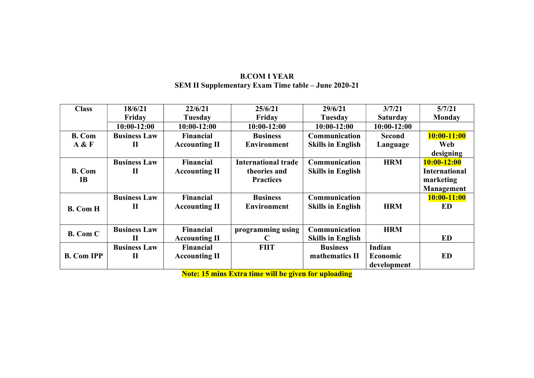### B.COM I YEAR SEM II Supplementary Exam Time table – June 2020-21

| <b>Class</b>      | 18/6/21             | 22/6/21              | 25/6/21                    | 29/6/21                  | 3/7/21          | 5/7/21               |
|-------------------|---------------------|----------------------|----------------------------|--------------------------|-----------------|----------------------|
|                   | Friday              | Tuesday              | Friday                     | <b>Tuesday</b>           | <b>Saturday</b> | <b>Monday</b>        |
|                   | $10:00-12:00$       | $10:00-12:00$        | $10:00-12:00$              | $10:00-12:00$            | $10:00-12:00$   |                      |
| <b>B.</b> Com     | <b>Business Law</b> | <b>Financial</b>     | <b>Business</b>            | Communication            | <b>Second</b>   | $10:00 - 11:00$      |
| A & F             | $\mathbf{I}$        | <b>Accounting II</b> | <b>Environment</b>         | <b>Skills in English</b> | Language        | Web                  |
|                   |                     |                      |                            |                          |                 | designing            |
|                   | <b>Business Law</b> | <b>Financial</b>     | <b>International trade</b> | Communication            | <b>HRM</b>      | $10:00 - 12:00$      |
| <b>B.</b> Com     | $\mathbf{I}$        | <b>Accounting II</b> | theories and               | <b>Skills in English</b> |                 | <b>International</b> |
| <b>IB</b>         |                     |                      | <b>Practices</b>           |                          |                 | marketing            |
|                   |                     |                      |                            |                          |                 | <b>Management</b>    |
|                   | <b>Business Law</b> | <b>Financial</b>     | <b>Business</b>            | Communication            |                 | $10:00-11:00$        |
| <b>B.</b> Com H   | $\mathbf H$         | <b>Accounting II</b> | <b>Environment</b>         | <b>Skills in English</b> | <b>HRM</b>      | ED                   |
|                   |                     |                      |                            |                          |                 |                      |
|                   | <b>Business Law</b> | <b>Financial</b>     | programming using          | Communication            | <b>HRM</b>      |                      |
| <b>B.</b> Com C   | $\mathbf{I}$        | <b>Accounting II</b> | C                          | <b>Skills in English</b> |                 | ED                   |
|                   | <b>Business Law</b> | <b>Financial</b>     | <b>FIIT</b>                | <b>Business</b>          | Indian          |                      |
| <b>B.</b> Com IPP | $\mathbf{I}$        | <b>Accounting II</b> |                            | mathematics II           | Economic        | ED                   |
|                   |                     |                      |                            |                          | development     |                      |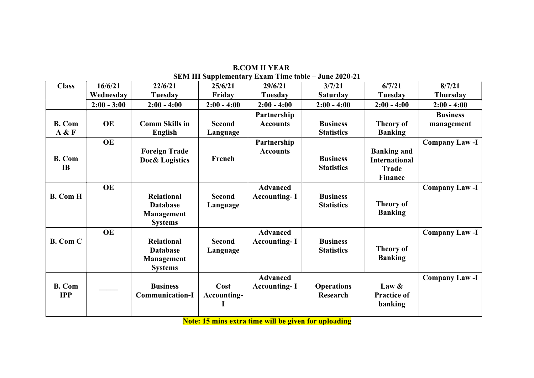| <b>Class</b>                | 16/6/21       | 22/6/21                                                                     | 25/6/21                   | 29/6/21                                | SEM III Supplementary Exam Time table – June 2020-21<br>3/7/21 | 6/7/21                                                                | 8/7/21                        |
|-----------------------------|---------------|-----------------------------------------------------------------------------|---------------------------|----------------------------------------|----------------------------------------------------------------|-----------------------------------------------------------------------|-------------------------------|
|                             | Wednesday     | Tuesday                                                                     | Friday                    | <b>Tuesday</b>                         | <b>Saturday</b>                                                | <b>Tuesday</b>                                                        | Thursday                      |
|                             | $2:00 - 3:00$ | $2:00 - 4:00$                                                               | $2:00 - 4:00$             | $2:00 - 4:00$                          | $2:00 - 4:00$                                                  | $2:00 - 4:00$                                                         | $2:00 - 4:00$                 |
| <b>B.</b> Com<br>A & F      | <b>OE</b>     | <b>Comm Skills in</b><br><b>English</b>                                     | <b>Second</b><br>Language | Partnership<br><b>Accounts</b>         | <b>Business</b><br><b>Statistics</b>                           | <b>Theory of</b><br><b>Banking</b>                                    | <b>Business</b><br>management |
| <b>B.</b> Com<br>IB         | <b>OE</b>     | <b>Foreign Trade</b><br><b>Doc&amp; Logistics</b>                           | French                    | Partnership<br><b>Accounts</b>         | <b>Business</b><br><b>Statistics</b>                           | <b>Banking and</b><br><b>International</b><br><b>Trade</b><br>Finance | <b>Company Law-I</b>          |
| <b>B.</b> Com H             | <b>OE</b>     | <b>Relational</b><br><b>Database</b><br><b>Management</b><br><b>Systems</b> | <b>Second</b><br>Language | <b>Advanced</b><br><b>Accounting-I</b> | <b>Business</b><br><b>Statistics</b>                           | <b>Theory of</b><br><b>Banking</b>                                    | <b>Company Law-I</b>          |
| <b>B.</b> Com C             | <b>OE</b>     | <b>Relational</b><br><b>Database</b><br><b>Management</b><br><b>Systems</b> | <b>Second</b><br>Language | <b>Advanced</b><br><b>Accounting-I</b> | <b>Business</b><br><b>Statistics</b>                           | <b>Theory of</b><br><b>Banking</b>                                    | <b>Company Law-I</b>          |
| <b>B.</b> Com<br><b>IPP</b> |               | <b>Business</b><br><b>Communication-I</b>                                   | Cost<br>Accounting-       | <b>Advanced</b><br><b>Accounting-I</b> | <b>Operations</b><br>Research                                  | Law $\&$<br><b>Practice of</b><br>banking                             | <b>Company Law-I</b>          |

B.COM II YEAR SEM III Supplementary Exam Time table – June 2020-21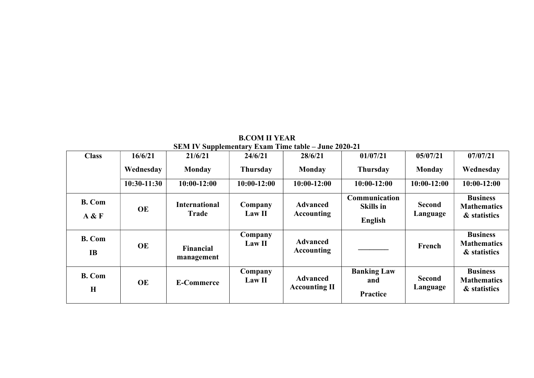| <b>Class</b>               | 16/6/21       | 21/6/21                              | 24/6/21           | 28/6/21                                 | 01/07/21                                            | 05/07/21                  | 07/07/21                                              |
|----------------------------|---------------|--------------------------------------|-------------------|-----------------------------------------|-----------------------------------------------------|---------------------------|-------------------------------------------------------|
|                            | Wednesday     | <b>Monday</b>                        | <b>Thursday</b>   | <b>Monday</b>                           | <b>Thursday</b>                                     | <b>Monday</b>             | Wednesday                                             |
|                            | $10:30-11:30$ | $10:00-12:00$                        | $10:00-12:00$     | $10:00-12:00$                           | $10:00-12:00$                                       | $10:00-12:00$             | $10:00-12:00$                                         |
| <b>B.</b> Com<br>A & F     | <b>OE</b>     | <b>International</b><br><b>Trade</b> | Company<br>Law II | <b>Advanced</b><br><b>Accounting</b>    | Communication<br><b>Skills in</b><br><b>English</b> | <b>Second</b><br>Language | <b>Business</b><br><b>Mathematics</b><br>& statistics |
| <b>B.</b> Com<br><b>IB</b> | <b>OE</b>     | Financial<br>management              | Company<br>Law II | <b>Advanced</b><br><b>Accounting</b>    |                                                     | French                    | <b>Business</b><br><b>Mathematics</b><br>& statistics |
| <b>B.</b> Com<br>H         | <b>OE</b>     | <b>E-Commerce</b>                    | Company<br>Law II | <b>Advanced</b><br><b>Accounting II</b> | <b>Banking Law</b><br>and<br><b>Practice</b>        | <b>Second</b><br>Language | <b>Business</b><br><b>Mathematics</b><br>& statistics |

B.COM II YEAR SEM IV Supplementary Exam Time table – June 2020-21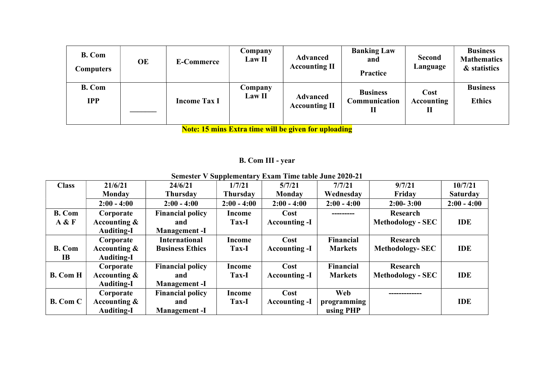| <b>B.</b> Com<br><b>Computers</b> | <b>OE</b> | <b>E-Commerce</b>   | Company<br>Law II        | <b>Advanced</b><br><b>Accounting II</b> | <b>Banking Law</b><br>and<br>Practice        | <b>Second</b><br>Language      | <b>Business</b><br><b>Mathematics</b><br>& statistics |
|-----------------------------------|-----------|---------------------|--------------------------|-----------------------------------------|----------------------------------------------|--------------------------------|-------------------------------------------------------|
| <b>B.</b> Com<br><b>IPP</b>       |           | <b>Income Tax I</b> | Company<br><b>Law II</b> | <b>Advanced</b><br><b>Accounting II</b> | <b>Business</b><br><b>Communication</b><br>П | Cost<br><b>Accounting</b><br>П | <b>Business</b><br><b>Ethics</b>                      |

Note: 15 mins Extra time will be given for uploading

# B. Com III - year

| <b>Semester V Supplementary Exam Time table June 2020-21</b> |  |
|--------------------------------------------------------------|--|
|--------------------------------------------------------------|--|

| <b>Class</b>    | 21/6/21           | 24/6/21                 | 1/7/21          | 5/7/21               | 7/7/21         | 9/7/21                   | 10/7/21         |
|-----------------|-------------------|-------------------------|-----------------|----------------------|----------------|--------------------------|-----------------|
|                 | Monday            | Thursday                | <b>Thursday</b> | <b>Monday</b>        | Wednesday      | Friday                   | <b>Saturday</b> |
|                 | $2:00 - 4:00$     | $2:00 - 4:00$           | $2:00 - 4:00$   | $2:00 - 4:00$        | $2:00 - 4:00$  | $2:00 - 3:00$            | $2:00 - 4:00$   |
| <b>B.</b> Com   | Corporate         | <b>Financial policy</b> | Income          | Cost                 | --------       | Research                 |                 |
| A & F           | Accounting $\&$   | and                     | Tax-I           | <b>Accounting -I</b> |                | <b>Methodology - SEC</b> | <b>IDE</b>      |
|                 | <b>Auditing-I</b> | <b>Management-I</b>     |                 |                      |                |                          |                 |
|                 | Corporate         | <b>International</b>    | Income          | Cost                 | Financial      | Research                 |                 |
| <b>B.</b> Com   | Accounting $\&$   | <b>Business Ethics</b>  | Tax-I           | <b>Accounting -I</b> | <b>Markets</b> | <b>Methodology-SEC</b>   | <b>IDE</b>      |
| <b>IB</b>       | <b>Auditing-I</b> |                         |                 |                      |                |                          |                 |
|                 | Corporate         | <b>Financial policy</b> | <b>Income</b>   | Cost                 | Financial      | Research                 |                 |
| <b>B.</b> Com H | Accounting $\&$   | and                     | Tax-I           | <b>Accounting -I</b> | <b>Markets</b> | <b>Methodology - SEC</b> | <b>IDE</b>      |
|                 | <b>Auditing-I</b> | <b>Management-I</b>     |                 |                      |                |                          |                 |
|                 | Corporate         | <b>Financial policy</b> | <b>Income</b>   | Cost                 | Web            |                          |                 |
| <b>B.</b> Com C | Accounting $\&$   | and                     | Tax-I           | <b>Accounting -I</b> | programming    |                          | <b>IDE</b>      |
|                 | <b>Auditing-I</b> | <b>Management</b> -I    |                 |                      | using PHP      |                          |                 |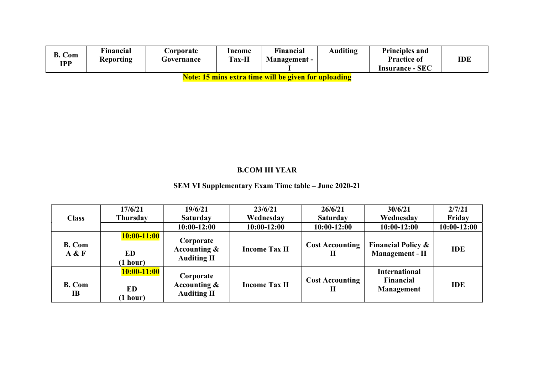| B. Com<br>TDD | Financial<br><b>Reporting</b> | <b>Corporate</b><br>Governance | Income<br><b>Tax-II</b> | m.<br>Financial<br><b>Management -</b> | <b>Auditing</b> | <b>Principles and</b><br><b>Practice of</b> | IDE |
|---------------|-------------------------------|--------------------------------|-------------------------|----------------------------------------|-----------------|---------------------------------------------|-----|
|               |                               |                                |                         |                                        |                 | <b>Insurance - SEC</b>                      |     |

Note: 15 mins extra time will be given for uploading

## B.COM III YEAR

### SEM VI Supplementary Exam Time table – June 2020-21

|                        | 17/6/21                                | 19/6/21                                            | 23/6/21              | 26/6/21                               | 30/6/21                                                 | 2/7/21      |
|------------------------|----------------------------------------|----------------------------------------------------|----------------------|---------------------------------------|---------------------------------------------------------|-------------|
| <b>Class</b>           | Thursday                               | <b>Saturday</b>                                    | Wednesday            | <b>Saturday</b>                       | Wednesday                                               | Friday      |
|                        |                                        | $10:00-12:00$                                      | $10:00-12:00$        | $10:00-12:00$                         | $10:00-12:00$                                           | 10:00-12:00 |
| <b>B.</b> Com<br>A & F | $10:00-11:00$<br><b>ED</b><br>(1 hour) | Corporate<br>Accounting &<br><b>Auditing II</b>    | <b>Income Tax II</b> | <b>Cost Accounting</b><br>$\mathbf H$ | <b>Financial Policy &amp;</b><br><b>Management - II</b> | <b>IDE</b>  |
| <b>B.</b> Com<br>IB    | $10:00-11:00$<br>ED<br>(1 hour)        | Corporate<br>Accounting $\&$<br><b>Auditing II</b> | <b>Income Tax II</b> | <b>Cost Accounting</b><br>П           | <b>International</b><br>Financial<br><b>Management</b>  | <b>IDE</b>  |